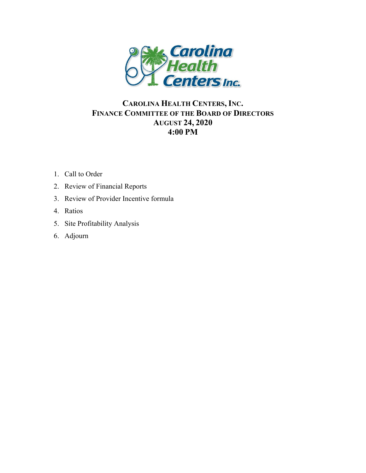

### **CAROLINA HEALTH CENTERS, INC. FINANCE COMMITTEE OF THE BOARD OF DIRECTORS AUGUST 24, 2020 4:00 PM**

- 1. Call to Order
- 2. Review of Financial Reports
- 3. Review of Provider Incentive formula
- 4. Ratios
- 5. Site Profitability Analysis
- 6. Adjourn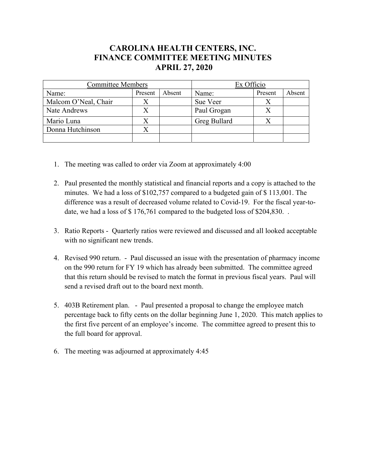#### **CAROLINA HEALTH CENTERS, INC. FINANCE COMMITTEE MEETING MINUTES APRIL 27, 2020**

| <b>Committee Members</b> |         |        | Ex Officio   |         |        |  |
|--------------------------|---------|--------|--------------|---------|--------|--|
| Name:                    | Present | Absent | Name:        | Present | Absent |  |
| Malcom O'Neal, Chair     |         |        | Sue Veer     |         |        |  |
| Nate Andrews             |         |        | Paul Grogan  |         |        |  |
| Mario Luna               |         |        | Greg Bullard |         |        |  |
| Donna Hutchinson         |         |        |              |         |        |  |
|                          |         |        |              |         |        |  |

- 1. The meeting was called to order via Zoom at approximately 4:00
- 2. Paul presented the monthly statistical and financial reports and a copy is attached to the minutes. We had a loss of \$102,757 compared to a budgeted gain of \$ 113,001. The difference was a result of decreased volume related to Covid-19. For the fiscal year-todate, we had a loss of \$176,761 compared to the budgeted loss of \$204,830..
- 3. Ratio Reports Quarterly ratios were reviewed and discussed and all looked acceptable with no significant new trends.
- 4. Revised 990 return. Paul discussed an issue with the presentation of pharmacy income on the 990 return for FY 19 which has already been submitted. The committee agreed that this return should be revised to match the format in previous fiscal years. Paul will send a revised draft out to the board next month.
- 5. 403B Retirement plan. Paul presented a proposal to change the employee match percentage back to fifty cents on the dollar beginning June 1, 2020. This match applies to the first five percent of an employee's income. The committee agreed to present this to the full board for approval.
- 6. The meeting was adjourned at approximately 4:45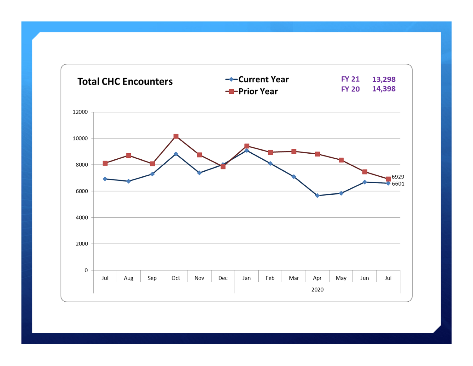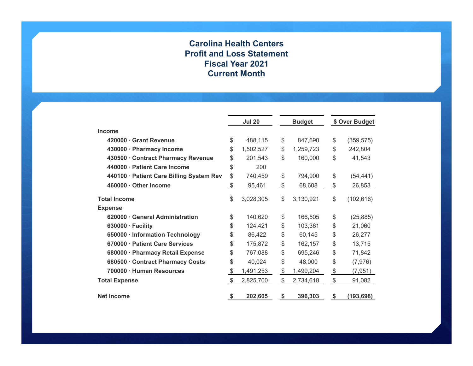#### **Carolina Health Centers Profit and Loss Statement Fiscal Year 2021 Current Month**

|                                          |       | <b>Jul 20</b> |               | <b>Budget</b> |               | \$ Over Budget |
|------------------------------------------|-------|---------------|---------------|---------------|---------------|----------------|
| Income                                   |       |               |               |               |               |                |
| 420000 Grant Revenue                     | \$    | 488,115       | \$            | 847,690       | \$            | (359, 575)     |
| 430000 · Pharmacy Income                 | \$    | 1,502,527     | \$            | 1,259,723     | \$            | 242,804        |
| 430500 · Contract Pharmacy Revenue       | \$    | 201,543       | \$            | 160,000       | \$            | 41,543         |
| 440000 · Patient Care Income             | \$    | 200           |               |               |               |                |
| 440100 · Patient Care Billing System Rev | \$    | 740,459       | \$            | 794,900       | \$            | (54, 441)      |
| 460000 · Other Income                    | \$    | 95,461        | \$            | 68,608        | $\frac{1}{2}$ | 26,853         |
| <b>Total Income</b>                      | \$    | 3,028,305     | \$            | 3,130,921     | \$            | (102, 616)     |
| <b>Expense</b>                           |       |               |               |               |               |                |
| 620000 General Administration            | \$    | 140,620       | \$            | 166,505       | \$            | (25, 885)      |
| $630000 \cdot$ Facility                  | \$    | 124,421       | \$            | 103,361       | \$            | 21,060         |
| 650000 · Information Technology          | \$    | 86,422        | \$            | 60,145        | \$            | 26,277         |
| 670000 · Patient Care Services           | \$    | 175,872       | \$            | 162,157       | \$            | 13,715         |
| 680000 · Pharmacy Retail Expense         | \$    | 767,088       | \$            | 695,246       | \$            | 71,842         |
| 680500 Contract Pharmacy Costs           | \$    | 40,024        | \$            | 48,000        | \$            | (7, 976)       |
| 700000 · Human Resources                 | \$    | 1,491,253     | \$            | 1,499,204     | \$            | (7, 951)       |
| <b>Total Expense</b>                     | $\$\$ | 2,825,700     | $\frac{1}{2}$ | 2,734,618     | \$            | 91,082         |
| <b>Net Income</b>                        | \$    | 202,605       | \$            | 396,303       | \$            | (193, 698)     |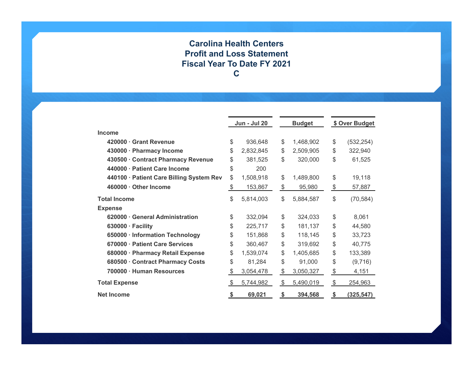#### **Carolina Health Centers Profit and Loss Statement Fiscal Year To Date FY 2021 C**

|                                          |     | <b>Jun - Jul 20</b> | <b>Budget</b>   |               | \$ Over Budget |  |
|------------------------------------------|-----|---------------------|-----------------|---------------|----------------|--|
| <b>Income</b>                            |     |                     |                 |               |                |  |
| 420000 Grant Revenue                     | \$  | 936,648             | \$<br>1,468,902 | \$            | (532, 254)     |  |
| 430000 · Pharmacy Income                 | \$  | 2,832,845           | \$<br>2,509,905 | \$            | 322,940        |  |
| 430500 · Contract Pharmacy Revenue       | \$  | 381,525             | \$<br>320,000   | \$            | 61,525         |  |
| 440000 · Patient Care Income             | \$  | 200                 |                 |               |                |  |
| 440100 · Patient Care Billing System Rev | \$  | 1,508,918           | \$<br>1,489,800 | \$            | 19,118         |  |
| 460000 · Other Income                    | \$  | 153,867             | \$<br>95,980    | $\frac{1}{2}$ | 57,887         |  |
| <b>Total Income</b>                      | \$  | 5,814,003           | \$<br>5,884,587 | \$            | (70, 584)      |  |
| <b>Expense</b>                           |     |                     |                 |               |                |  |
| 620000 General Administration            | \$  | 332,094             | \$<br>324,033   | \$            | 8,061          |  |
| $630000 \cdot$ Facility                  | \$  | 225,717             | \$<br>181,137   | \$            | 44,580         |  |
| 650000 · Information Technology          | \$  | 151,868             | \$<br>118,145   | \$            | 33,723         |  |
| 670000 · Patient Care Services           | \$  | 360,467             | \$<br>319,692   | \$            | 40,775         |  |
| 680000 · Pharmacy Retail Expense         | \$  | 1,539,074           | \$<br>1,405,685 | \$            | 133,389        |  |
| 680500 Contract Pharmacy Costs           | \$  | 81,284              | \$<br>91,000    | \$            | (9,716)        |  |
| 700000 · Human Resources                 | \$  | 3,054,478           | \$<br>3,050,327 | $\frac{1}{2}$ | 4,151          |  |
| <b>Total Expense</b>                     | -\$ | 5,744,982           | \$<br>5,490,019 | $\$\$         | 254,963        |  |
| <b>Net Income</b>                        | \$  | 69,021              | \$<br>394,568   | \$            | (325, 547)     |  |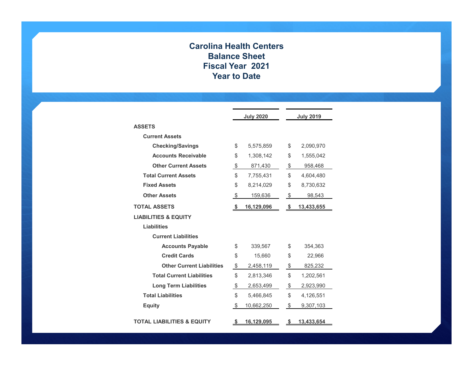#### **Carolina Health Centers Balance Sheet Fiscal Year 2021 Year to Date**

|                                       | <b>July 2020</b>        | <b>July 2019</b> |  |  |  |
|---------------------------------------|-------------------------|------------------|--|--|--|
| <b>ASSETS</b>                         |                         |                  |  |  |  |
| <b>Current Assets</b>                 |                         |                  |  |  |  |
| <b>Checking/Savings</b>               | \$<br>5,575,859         | \$<br>2,090,970  |  |  |  |
| <b>Accounts Receivable</b>            | \$<br>1,308,142         | \$<br>1,555,042  |  |  |  |
| <b>Other Current Assets</b>           | \$<br>871,430           | \$<br>958,468    |  |  |  |
| <b>Total Current Assets</b>           | \$<br>7,755,431         | \$<br>4,604,480  |  |  |  |
| <b>Fixed Assets</b>                   | \$<br>8,214,029         | \$<br>8,730,632  |  |  |  |
| <b>Other Assets</b>                   | \$<br>159,636           | \$<br>98,543     |  |  |  |
| <b>TOTAL ASSETS</b>                   | \$<br><u>16,129,096</u> | \$<br>13,433,655 |  |  |  |
| <b>LIABILITIES &amp; EQUITY</b>       |                         |                  |  |  |  |
| <b>Liabilities</b>                    |                         |                  |  |  |  |
| <b>Current Liabilities</b>            |                         |                  |  |  |  |
| <b>Accounts Payable</b>               | \$<br>339,567           | \$<br>354,363    |  |  |  |
| <b>Credit Cards</b>                   | \$<br>15,660            | \$<br>22,966     |  |  |  |
| <b>Other Current Liabilities</b>      | \$<br>2,458,119         | \$<br>825,232    |  |  |  |
| <b>Total Current Liabilities</b>      | \$<br>2,813,346         | \$<br>1,202,561  |  |  |  |
| <b>Long Term Liabilities</b>          | \$<br>2,653,499         | \$<br>2,923,990  |  |  |  |
| <b>Total Liabilities</b>              | \$<br>5,466,845         | \$<br>4,126,551  |  |  |  |
| <b>Equity</b>                         | \$<br>10,662,250        | \$<br>9,307,103  |  |  |  |
| <b>TOTAL LIABILITIES &amp; EQUITY</b> | \$<br>16,129,095        | \$<br>13,433,654 |  |  |  |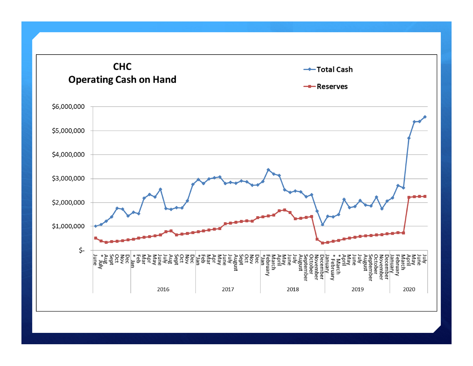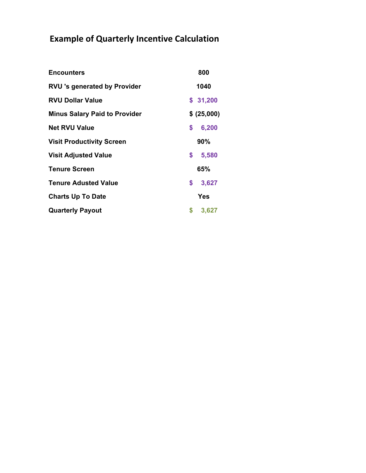# **Example of Quarterly Incentive Calculation**

| <b>Encounters</b>                    | 800         |
|--------------------------------------|-------------|
| <b>RVU 's generated by Provider</b>  | 1040        |
| <b>RVU Dollar Value</b>              | \$31,200    |
| <b>Minus Salary Paid to Provider</b> | \$ (25,000) |
| <b>Net RVU Value</b>                 | \$<br>6,200 |
| <b>Visit Productivity Screen</b>     | 90%         |
| <b>Visit Adjusted Value</b>          | \$<br>5,580 |
| <b>Tenure Screen</b>                 | 65%         |
| <b>Tenure Adusted Value</b>          | \$<br>3,627 |
| <b>Charts Up To Date</b>             | <b>Yes</b>  |
| <b>Quarterly Payout</b>              | \$<br>3,627 |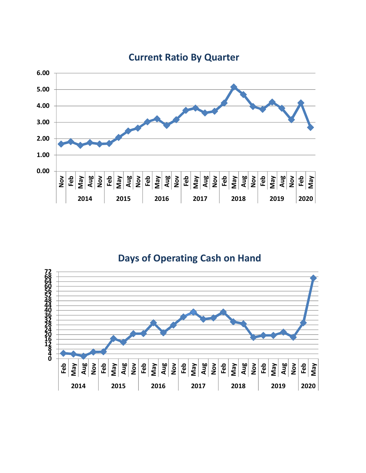

### **Current Ratio By Quarter**

**Days of Operating Cash on Hand**

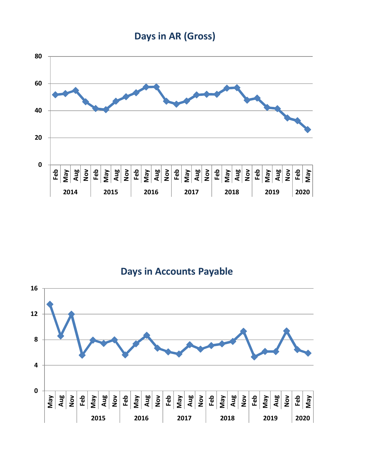



**Days in Accounts Payable**